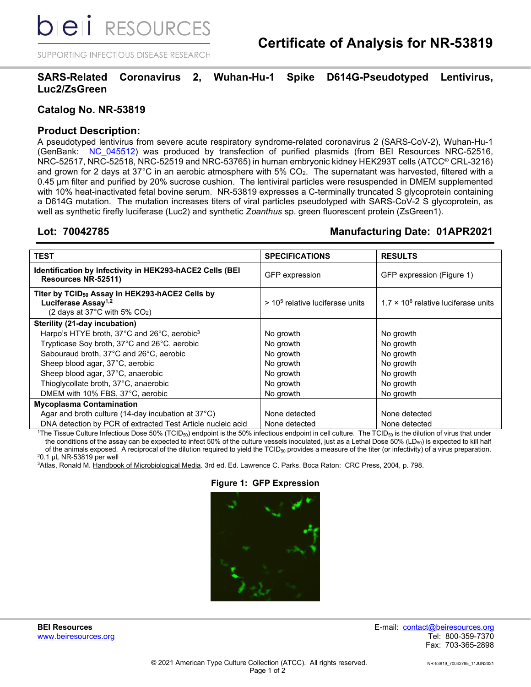*DIEI RESOURCES* 

SUPPORTING INFECTIOUS DISEASE RESEARCH

# **SARS-Related Coronavirus 2, Wuhan-Hu-1 Spike D614G-Pseudotyped Lentivirus, Luc2/ZsGreen**

## **Catalog No. NR-53819**

# **Product Description:**

A pseudotyped lentivirus from severe acute respiratory syndrome-related coronavirus 2 (SARS-CoV-2), Wuhan-Hu-1 (GenBank: NC 045512) was produced by transfection of purified plasmids (from BEI Resources NRC-52516, NRC-52517, NRC-52518, NRC-52519 and NRC-53765) in human embryonic kidney HEK293T cells (ATCC® CRL-3216) and grown for 2 days at 37°C in an aerobic atmosphere with  $5\%$  CO<sub>2</sub>. The supernatant was harvested, filtered with a 0.45 µm filter and purified by 20% sucrose cushion. The lentiviral particles were resuspended in DMEM supplemented with 10% heat-inactivated fetal bovine serum. NR-53819 expresses a C-terminally truncated S glycoprotein containing a D614G mutation. The mutation increases titers of viral particles pseudotyped with SARS-CoV-2 S glycoprotein, as well as synthetic firefly luciferase (Luc2) and synthetic *Zoanthus* sp. green fluorescent protein (ZsGreen1).

# **Lot: 70042785 Manufacturing Date: 01APR2021**

| TEST                                                                                                                                                  | <b>SPECIFICATIONS</b>             | <b>RESULTS</b>                              |
|-------------------------------------------------------------------------------------------------------------------------------------------------------|-----------------------------------|---------------------------------------------|
| Identification by Infectivity in HEK293-hACE2 Cells (BEI<br>Resources NR-52511)                                                                       | <b>GFP</b> expression             | GFP expression (Figure 1)                   |
| Titer by TCID <sub>50</sub> Assay in HEK293-hACE2 Cells by<br>Luciferase Assay <sup>1,2</sup><br>(2 days at 37 $^{\circ}$ C with 5% CO <sub>2</sub> ) | $> 105$ relative luciferase units | $1.7 \times 10^6$ relative luciferase units |
| Sterility (21-day incubation)                                                                                                                         |                                   |                                             |
| Harpo's HTYE broth, 37°C and 26°C, aerobic <sup>3</sup>                                                                                               | No growth                         | No growth                                   |
| Trypticase Soy broth, 37°C and 26°C, aerobic                                                                                                          | No growth                         | No growth                                   |
| Sabouraud broth, 37°C and 26°C, aerobic                                                                                                               | No growth                         | No growth                                   |
| Sheep blood agar, 37°C, aerobic                                                                                                                       | No growth                         | No growth                                   |
| Sheep blood agar, 37°C, anaerobic                                                                                                                     | No growth                         | No growth                                   |
| Thioglycollate broth, 37°C, anaerobic                                                                                                                 | No growth                         | No growth                                   |
| DMEM with 10% FBS, 37°C, aerobic                                                                                                                      | No growth                         | No growth                                   |
| <b>Mycoplasma Contamination</b>                                                                                                                       |                                   |                                             |
| Agar and broth culture (14-day incubation at $37^{\circ}$ C)                                                                                          | None detected                     | None detected                               |
| DNA detection by PCR of extracted Test Article nucleic acid                                                                                           | None detected                     | None detected                               |

 $^1$ The Tissue Culture Infectious Dose 50% (TCID $_{50}$ ) endpoint is the 50% infectious endpoint in cell culture. The TCID $_{50}$  is the dilution of virus that under the conditions of the assay can be expected to infect 50% of the culture vessels inoculated, just as a Lethal Dose 50% (LD<sub>50</sub>) is expected to kill half of the animals exposed. A reciprocal of the dilution required to yield the  $TCID_{50}$  provides a measure of the titer (or infectivity) of a virus preparation. 2 0.1 µL NR-53819 per well

 $^3$ Atlas, Ronald M. <u>Handbook of Microbiological Media</u>. 3rd ed. Ed. Lawrence C. Parks. Boca Raton: CRC Press, 2004, p. 798.

#### **Figure 1: GFP Expression**



**BEI Resources** E-mail: contact@beiresources.org Fax: 703-365-2898